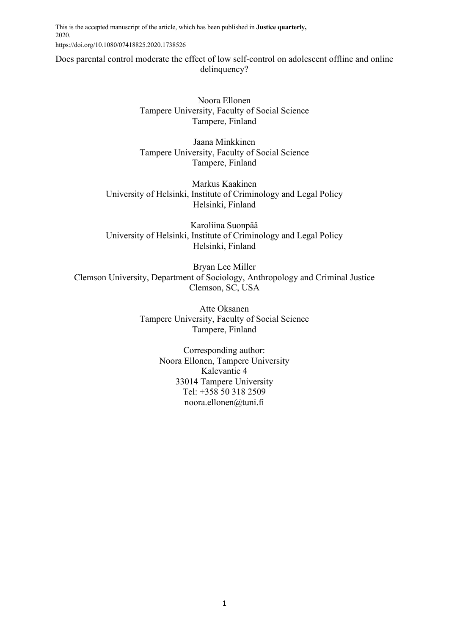This is the accepted manuscript of the article, which has been published in **Justice quarterly,** 2020.

https://doi.org/10.1080/07418825.2020.1738526

Does parental control moderate the effect of low self-control on adolescent offline and online delinquency?

> Noora Ellonen Tampere University, Faculty of Social Science Tampere, Finland

> Jaana Minkkinen Tampere University, Faculty of Social Science Tampere, Finland

Markus Kaakinen University of Helsinki, Institute of Criminology and Legal Policy Helsinki, Finland

Karoliina Suonpää University of Helsinki, Institute of Criminology and Legal Policy Helsinki, Finland

Bryan Lee Miller Clemson University, Department of Sociology, Anthropology and Criminal Justice Clemson, SC, USA

> Atte Oksanen Tampere University, Faculty of Social Science Tampere, Finland

> > Corresponding author: Noora Ellonen, Tampere University Kalevantie 4 33014 Tampere University Tel: +358 50 318 2509 noora.ellonen@tuni.fi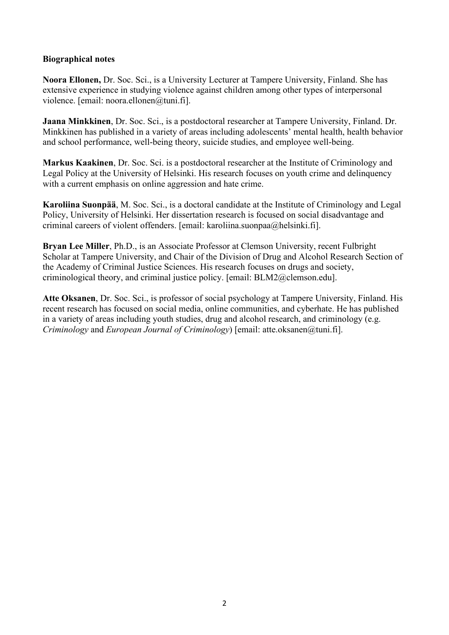# **Biographical notes**

**Noora Ellonen,** Dr. Soc. Sci., is a University Lecturer at Tampere University, Finland. She has extensive experience in studying violence against children among other types of interpersonal violence. [email: noora.ellonen@tuni.fi].

**Jaana Minkkinen**, Dr. Soc. Sci., is a postdoctoral researcher at Tampere University, Finland. Dr. Minkkinen has published in a variety of areas including adolescents' mental health, health behavior and school performance, well-being theory, suicide studies, and employee well-being.

**Markus Kaakinen**, Dr. Soc. Sci. is a postdoctoral researcher at the Institute of Criminology and Legal Policy at the University of Helsinki. His research focuses on youth crime and delinquency with a current emphasis on online aggression and hate crime.

**Karoliina Suonpää**, M. Soc. Sci., is a doctoral candidate at the Institute of Criminology and Legal Policy, University of Helsinki. Her dissertation research is focused on social disadvantage and criminal careers of violent offenders. [email: karoliina.suonpaa@helsinki.fi].

**Bryan Lee Miller**, Ph.D., is an Associate Professor at Clemson University, recent Fulbright Scholar at Tampere University, and Chair of the Division of Drug and Alcohol Research Section of the Academy of Criminal Justice Sciences. His research focuses on drugs and society, criminological theory, and criminal justice policy. [email: BLM2@clemson.edu].

**Atte Oksanen**, Dr. Soc. Sci., is professor of social psychology at Tampere University, Finland. His recent research has focused on social media, online communities, and cyberhate. He has published in a variety of areas including youth studies, drug and alcohol research, and criminology (e.g. *Criminology* and *European Journal of Criminology*) [email: atte[.oksanen@tuni.fi\]](mailto:oksanen@tuni.fi).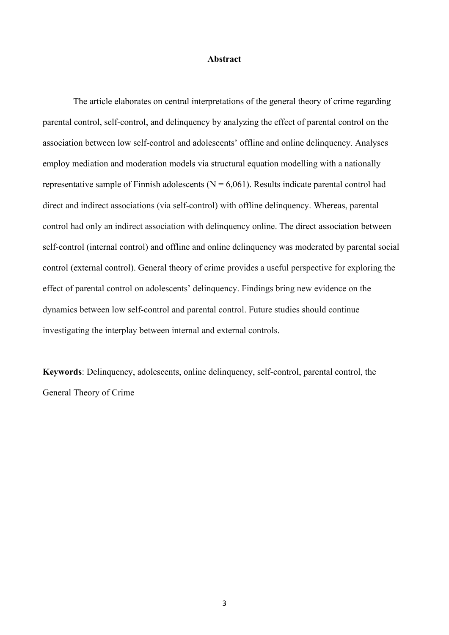### **Abstract**

The article elaborates on central interpretations of the general theory of crime regarding parental control, self-control, and delinquency by analyzing the effect of parental control on the association between low self-control and adolescents' offline and online delinquency. Analyses employ mediation and moderation models via structural equation modelling with a nationally representative sample of Finnish adolescents ( $N = 6,061$ ). Results indicate parental control had direct and indirect associations (via self-control) with offline delinquency. Whereas, parental control had only an indirect association with delinquency online. The direct association between self-control (internal control) and offline and online delinquency was moderated by parental social control (external control). General theory of crime provides a useful perspective for exploring the effect of parental control on adolescents' delinquency. Findings bring new evidence on the dynamics between low self-control and parental control. Future studies should continue investigating the interplay between internal and external controls.

**Keywords**: Delinquency, adolescents, online delinquency, self-control, parental control, the General Theory of Crime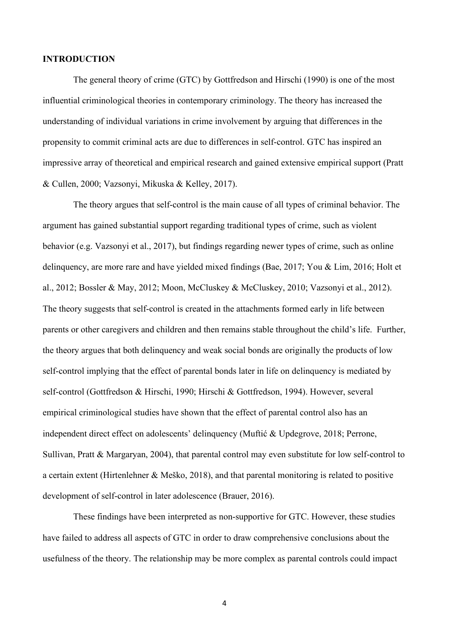## **INTRODUCTION**

The general theory of crime (GTC) by Gottfredson and Hirschi (1990) is one of the most influential criminological theories in contemporary criminology. The theory has increased the understanding of individual variations in crime involvement by arguing that differences in the propensity to commit criminal acts are due to differences in self-control. GTC has inspired an impressive array of theoretical and empirical research and gained extensive empirical support (Pratt & Cullen, 2000; Vazsonyi, Mikuska & Kelley, 2017).

The theory argues that self-control is the main cause of all types of criminal behavior. The argument has gained substantial support regarding traditional types of crime, such as violent behavior (e.g. Vazsonyi et al., 2017), but findings regarding newer types of crime, such as online delinquency, are more rare and have yielded mixed findings (Bae, 2017; You & Lim, 2016; Holt et al., 2012; Bossler & May, 2012; Moon, McCluskey & McCluskey, 2010; Vazsonyi et al., 2012). The theory suggests that self-control is created in the attachments formed early in life between parents or other caregivers and children and then remains stable throughout the child's life. Further, the theory argues that both delinquency and weak social bonds are originally the products of low self-control implying that the effect of parental bonds later in life on delinquency is mediated by self-control (Gottfredson & Hirschi, 1990; Hirschi & Gottfredson, 1994). However, several empirical criminological studies have shown that the effect of parental control also has an independent direct effect on adolescents' delinquency (Muftić & Updegrove, 2018; Perrone, Sullivan, Pratt & Margaryan, 2004), that parental control may even substitute for low self-control to a certain extent (Hirtenlehner & Meško, 2018), and that parental monitoring is related to positive development of self-control in later adolescence (Brauer, 2016).

These findings have been interpreted as non-supportive for GTC. However, these studies have failed to address all aspects of GTC in order to draw comprehensive conclusions about the usefulness of the theory. The relationship may be more complex as parental controls could impact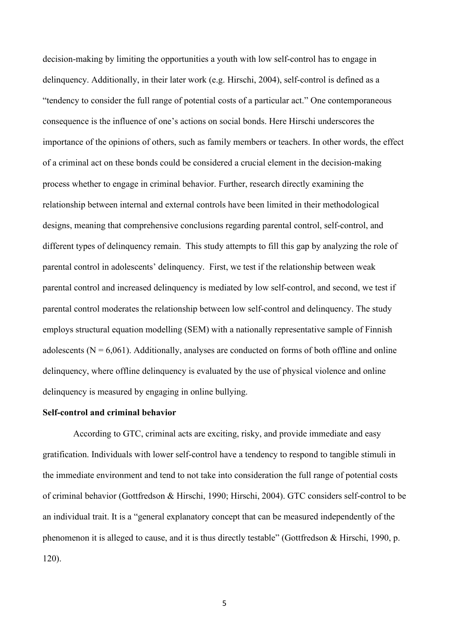decision-making by limiting the opportunities a youth with low self-control has to engage in delinquency. Additionally, in their later work (e.g. Hirschi, 2004), self-control is defined as a "tendency to consider the full range of potential costs of a particular act." One contemporaneous consequence is the influence of one's actions on social bonds. Here Hirschi underscores the importance of the opinions of others, such as family members or teachers. In other words, the effect of a criminal act on these bonds could be considered a crucial element in the decision-making process whether to engage in criminal behavior. Further, research directly examining the relationship between internal and external controls have been limited in their methodological designs, meaning that comprehensive conclusions regarding parental control, self-control, and different types of delinquency remain. This study attempts to fill this gap by analyzing the role of parental control in adolescents' delinquency. First, we test if the relationship between weak parental control and increased delinquency is mediated by low self-control, and second, we test if parental control moderates the relationship between low self-control and delinquency. The study employs structural equation modelling (SEM) with a nationally representative sample of Finnish adolescents ( $N = 6,061$ ). Additionally, analyses are conducted on forms of both offline and online delinquency, where offline delinquency is evaluated by the use of physical violence and online delinquency is measured by engaging in online bullying.

# **Self-control and criminal behavior**

According to GTC, criminal acts are exciting, risky, and provide immediate and easy gratification. Individuals with lower self-control have a tendency to respond to tangible stimuli in the immediate environment and tend to not take into consideration the full range of potential costs of criminal behavior (Gottfredson & Hirschi, 1990; Hirschi, 2004). GTC considers self-control to be an individual trait. It is a "general explanatory concept that can be measured independently of the phenomenon it is alleged to cause, and it is thus directly testable" (Gottfredson & Hirschi, 1990, p. 120).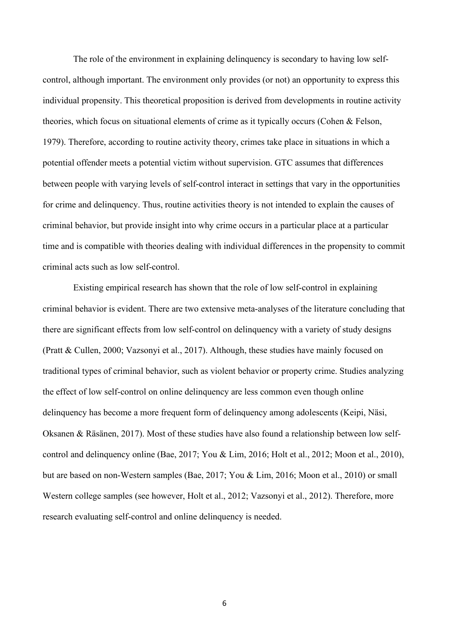The role of the environment in explaining delinquency is secondary to having low selfcontrol, although important. The environment only provides (or not) an opportunity to express this individual propensity. This theoretical proposition is derived from developments in routine activity theories, which focus on situational elements of crime as it typically occurs (Cohen & Felson, 1979). Therefore, according to routine activity theory, crimes take place in situations in which a potential offender meets a potential victim without supervision. GTC assumes that differences between people with varying levels of self-control interact in settings that vary in the opportunities for crime and delinquency. Thus, routine activities theory is not intended to explain the causes of criminal behavior, but provide insight into why crime occurs in a particular place at a particular time and is compatible with theories dealing with individual differences in the propensity to commit criminal acts such as low self-control.

Existing empirical research has shown that the role of low self-control in explaining criminal behavior is evident. There are two extensive meta-analyses of the literature concluding that there are significant effects from low self-control on delinquency with a variety of study designs (Pratt & Cullen, 2000; Vazsonyi et al., 2017). Although, these studies have mainly focused on traditional types of criminal behavior, such as violent behavior or property crime. Studies analyzing the effect of low self-control on online delinquency are less common even though online delinquency has become a more frequent form of delinquency among adolescents (Keipi, Näsi, Oksanen & Räsänen, 2017). Most of these studies have also found a relationship between low selfcontrol and delinquency online (Bae, 2017; You & Lim, 2016; Holt et al., 2012; Moon et al., 2010), but are based on non-Western samples (Bae, 2017; You & Lim, 2016; Moon et al., 2010) or small Western college samples (see however, Holt et al., 2012; Vazsonyi et al., 2012). Therefore, more research evaluating self-control and online delinquency is needed.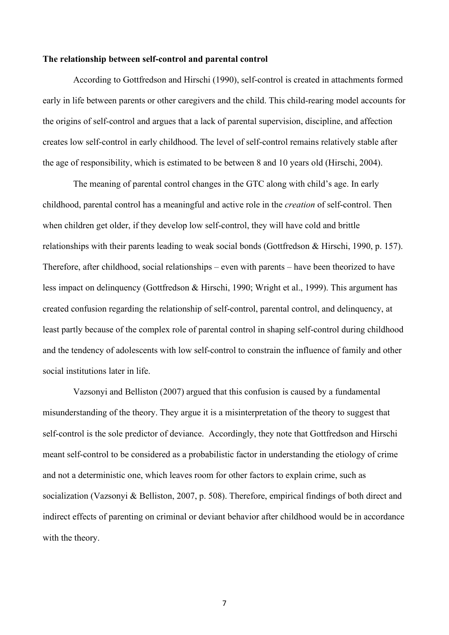### **The relationship between self-control and parental control**

According to Gottfredson and Hirschi (1990), self-control is created in attachments formed early in life between parents or other caregivers and the child. This child-rearing model accounts for the origins of self-control and argues that a lack of parental supervision, discipline, and affection creates low self-control in early childhood. The level of self-control remains relatively stable after the age of responsibility, which is estimated to be between 8 and 10 years old (Hirschi, 2004).

The meaning of parental control changes in the GTC along with child's age. In early childhood, parental control has a meaningful and active role in the *creation* of self-control. Then when children get older, if they develop low self-control, they will have cold and brittle relationships with their parents leading to weak social bonds (Gottfredson & Hirschi, 1990, p. 157). Therefore, after childhood, social relationships – even with parents – have been theorized to have less impact on delinquency (Gottfredson & Hirschi, 1990; Wright et al., 1999). This argument has created confusion regarding the relationship of self-control, parental control, and delinquency, at least partly because of the complex role of parental control in shaping self-control during childhood and the tendency of adolescents with low self-control to constrain the influence of family and other social institutions later in life.

Vazsonyi and Belliston (2007) argued that this confusion is caused by a fundamental misunderstanding of the theory. They argue it is a misinterpretation of the theory to suggest that self-control is the sole predictor of deviance. Accordingly, they note that Gottfredson and Hirschi meant self-control to be considered as a probabilistic factor in understanding the etiology of crime and not a deterministic one, which leaves room for other factors to explain crime, such as socialization (Vazsonyi & Belliston, 2007, p. 508). Therefore, empirical findings of both direct and indirect effects of parenting on criminal or deviant behavior after childhood would be in accordance with the theory.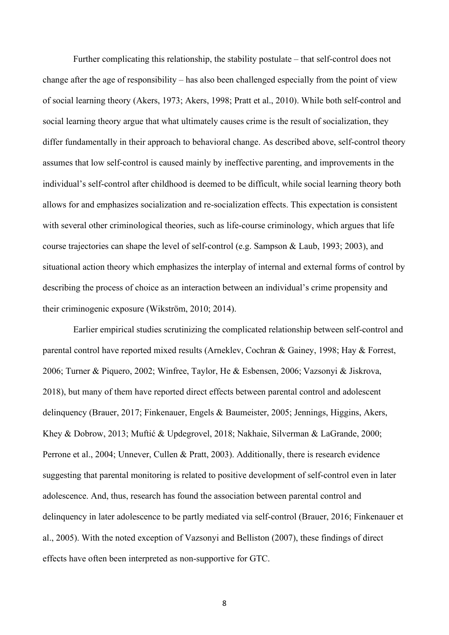Further complicating this relationship, the stability postulate – that self-control does not change after the age of responsibility – has also been challenged especially from the point of view of social learning theory (Akers, 1973; Akers, 1998; Pratt et al., 2010). While both self-control and social learning theory argue that what ultimately causes crime is the result of socialization, they differ fundamentally in their approach to behavioral change. As described above, self-control theory assumes that low self-control is caused mainly by ineffective parenting, and improvements in the individual's self-control after childhood is deemed to be difficult, while social learning theory both allows for and emphasizes socialization and re-socialization effects. This expectation is consistent with several other criminological theories, such as life-course criminology, which argues that life course trajectories can shape the level of self-control (e.g. Sampson & Laub, 1993; 2003), and situational action theory which emphasizes the interplay of internal and external forms of control by describing the process of choice as an interaction between an individual's crime propensity and their criminogenic exposure (Wikström, 2010; 2014).

Earlier empirical studies scrutinizing the complicated relationship between self-control and parental control have reported mixed results (Arneklev, Cochran & Gainey, 1998; Hay & Forrest, 2006; Turner & Piquero, 2002; Winfree, Taylor, He & Esbensen, 2006; Vazsonyi & Jiskrova, 2018), but many of them have reported direct effects between parental control and adolescent delinquency (Brauer, 2017; Finkenauer, Engels & Baumeister, 2005; Jennings, Higgins, Akers, Khey & Dobrow, 2013; Muftić & Updegrovel, 2018; Nakhaie, Silverman & LaGrande, 2000; Perrone et al., 2004; Unnever, Cullen & Pratt, 2003). Additionally, there is research evidence suggesting that parental monitoring is related to positive development of self-control even in later adolescence. And, thus, research has found the association between parental control and delinquency in later adolescence to be partly mediated via self-control (Brauer, 2016; Finkenauer et al., 2005). With the noted exception of Vazsonyi and Belliston (2007), these findings of direct effects have often been interpreted as non-supportive for GTC.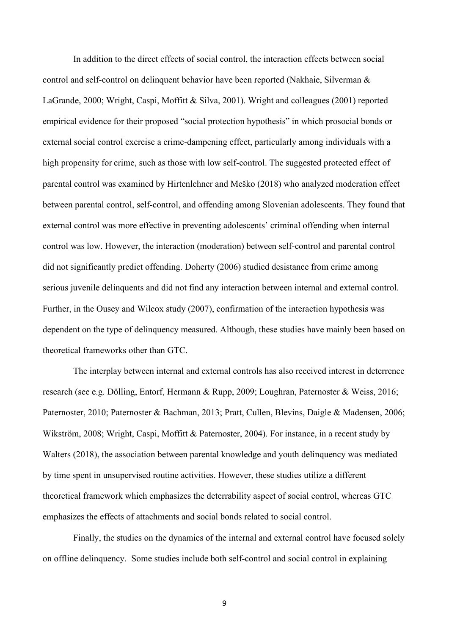In addition to the direct effects of social control, the interaction effects between social control and self-control on delinquent behavior have been reported (Nakhaie, Silverman & LaGrande, 2000; Wright, Caspi, Moffitt & Silva, 2001). Wright and colleagues (2001) reported empirical evidence for their proposed "social protection hypothesis" in which prosocial bonds or external social control exercise a crime-dampening effect, particularly among individuals with a high propensity for crime, such as those with low self-control. The suggested protected effect of parental control was examined by Hirtenlehner and Meško (2018) who analyzed moderation effect between parental control, self-control, and offending among Slovenian adolescents. They found that external control was more effective in preventing adolescents' criminal offending when internal control was low. However, the interaction (moderation) between self-control and parental control did not significantly predict offending. Doherty (2006) studied desistance from crime among serious juvenile delinquents and did not find any interaction between internal and external control. Further, in the Ousey and Wilcox study (2007), confirmation of the interaction hypothesis was dependent on the type of delinquency measured. Although, these studies have mainly been based on theoretical frameworks other than GTC.

The interplay between internal and external controls has also received interest in deterrence research (see e.g. Dölling, Entorf, Hermann & Rupp, 2009; Loughran, Paternoster & Weiss, 2016; Paternoster, 2010; Paternoster & Bachman, 2013; Pratt, Cullen, Blevins, Daigle & Madensen, 2006; Wikström, 2008; Wright, Caspi, Moffitt & Paternoster, 2004). For instance, in a recent study by Walters (2018), the association between parental knowledge and youth delinquency was mediated by time spent in unsupervised routine activities. However, these studies utilize a different theoretical framework which emphasizes the deterrability aspect of social control, whereas GTC emphasizes the effects of attachments and social bonds related to social control.

Finally, the studies on the dynamics of the internal and external control have focused solely on offline delinquency. Some studies include both self-control and social control in explaining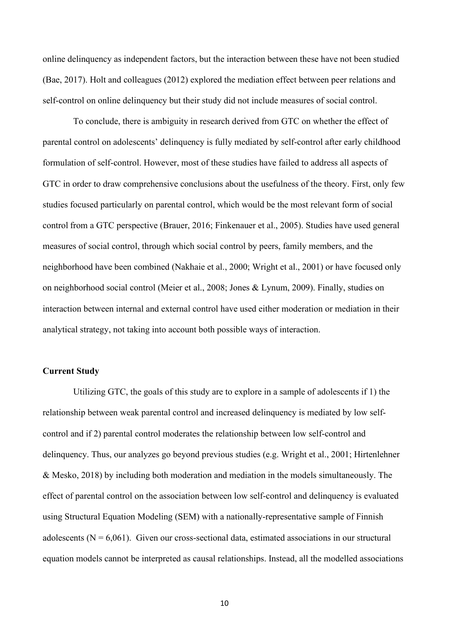online delinquency as independent factors, but the interaction between these have not been studied (Bae, 2017). Holt and colleagues (2012) explored the mediation effect between peer relations and self-control on online delinquency but their study did not include measures of social control.

To conclude, there is ambiguity in research derived from GTC on whether the effect of parental control on adolescents' delinquency is fully mediated by self-control after early childhood formulation of self-control. However, most of these studies have failed to address all aspects of GTC in order to draw comprehensive conclusions about the usefulness of the theory. First, only few studies focused particularly on parental control, which would be the most relevant form of social control from a GTC perspective (Brauer, 2016; Finkenauer et al., 2005). Studies have used general measures of social control, through which social control by peers, family members, and the neighborhood have been combined (Nakhaie et al., 2000; Wright et al., 2001) or have focused only on neighborhood social control (Meier et al., 2008; Jones & Lynum, 2009). Finally, studies on interaction between internal and external control have used either moderation or mediation in their analytical strategy, not taking into account both possible ways of interaction.

# **Current Study**

Utilizing GTC, the goals of this study are to explore in a sample of adolescents if 1) the relationship between weak parental control and increased delinquency is mediated by low selfcontrol and if 2) parental control moderates the relationship between low self-control and delinquency. Thus, our analyzes go beyond previous studies (e.g. Wright et al., 2001; Hirtenlehner & Mesko, 2018) by including both moderation and mediation in the models simultaneously. The effect of parental control on the association between low self-control and delinquency is evaluated using Structural Equation Modeling (SEM) with a nationally-representative sample of Finnish adolescents ( $N = 6,061$ ). Given our cross-sectional data, estimated associations in our structural equation models cannot be interpreted as causal relationships. Instead, all the modelled associations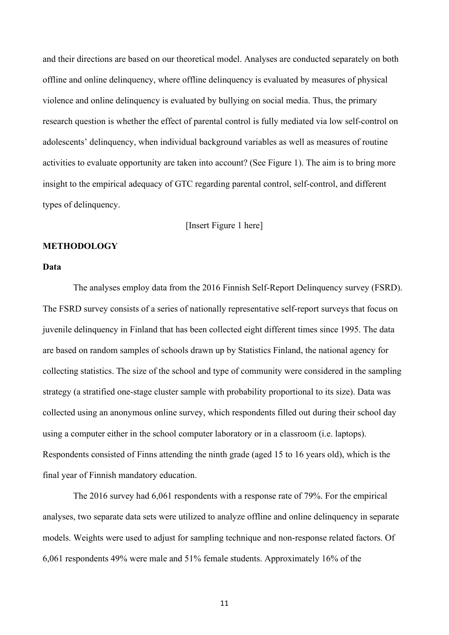and their directions are based on our theoretical model. Analyses are conducted separately on both offline and online delinquency, where offline delinquency is evaluated by measures of physical violence and online delinquency is evaluated by bullying on social media. Thus, the primary research question is whether the effect of parental control is fully mediated via low self-control on adolescents' delinquency, when individual background variables as well as measures of routine activities to evaluate opportunity are taken into account? (See Figure 1). The aim is to bring more insight to the empirical adequacy of GTC regarding parental control, self-control, and different types of delinquency.

[Insert Figure 1 here]

### **METHODOLOGY**

#### **Data**

The analyses employ data from the 2016 Finnish Self-Report Delinquency survey (FSRD). The FSRD survey consists of a series of nationally representative self-report surveys that focus on juvenile delinquency in Finland that has been collected eight different times since 1995. The data are based on random samples of schools drawn up by Statistics Finland, the national agency for collecting statistics. The size of the school and type of community were considered in the sampling strategy (a stratified one-stage cluster sample with probability proportional to its size). Data was collected using an anonymous online survey, which respondents filled out during their school day using a computer either in the school computer laboratory or in a classroom (i.e. laptops). Respondents consisted of Finns attending the ninth grade (aged 15 to 16 years old), which is the final year of Finnish mandatory education.

The 2016 survey had 6,061 respondents with a response rate of 79%. For the empirical analyses, two separate data sets were utilized to analyze offline and online delinquency in separate models. Weights were used to adjust for sampling technique and non-response related factors. Of 6,061 respondents 49% were male and 51% female students. Approximately 16% of the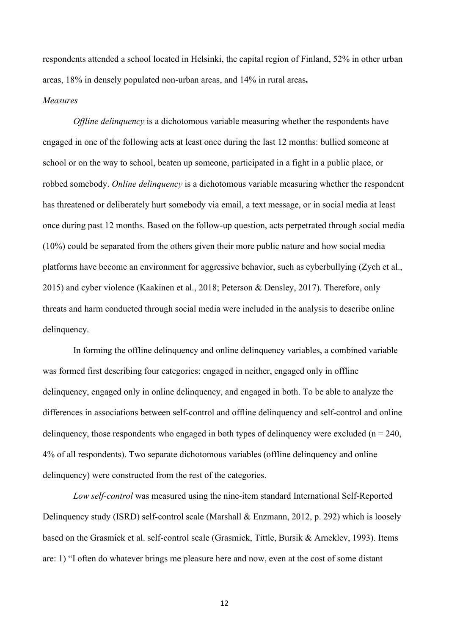respondents attended a school located in Helsinki, the capital region of Finland, 52% in other urban areas, 18% in densely populated non-urban areas, and 14% in rural areas**.**

### *Measures*

*Offline delinquency* is a dichotomous variable measuring whether the respondents have engaged in one of the following acts at least once during the last 12 months: bullied someone at school or on the way to school, beaten up someone, participated in a fight in a public place, or robbed somebody. *Online delinquency* is a dichotomous variable measuring whether the respondent has threatened or deliberately hurt somebody via email, a text message, or in social media at least once during past 12 months. Based on the follow-up question, acts perpetrated through social media (10%) could be separated from the others given their more public nature and how social media platforms have become an environment for aggressive behavior, such as cyberbullying (Zych et al., 2015) and cyber violence (Kaakinen et al., 2018; Peterson & Densley, 2017). Therefore, only threats and harm conducted through social media were included in the analysis to describe online delinquency.

In forming the offline delinquency and online delinquency variables, a combined variable was formed first describing four categories: engaged in neither, engaged only in offline delinquency, engaged only in online delinquency, and engaged in both. To be able to analyze the differences in associations between self-control and offline delinquency and self-control and online delinguency, those respondents who engaged in both types of delinguency were excluded ( $n = 240$ , 4% of all respondents). Two separate dichotomous variables (offline delinquency and online delinquency) were constructed from the rest of the categories.

*Low self-control* was measured using the nine-item standard International Self-Reported Delinquency study (ISRD) self-control scale (Marshall & Enzmann, 2012, p. 292) which is loosely based on the Grasmick et al. self-control scale (Grasmick, Tittle, Bursik & Arneklev, 1993). Items are: 1) "I often do whatever brings me pleasure here and now, even at the cost of some distant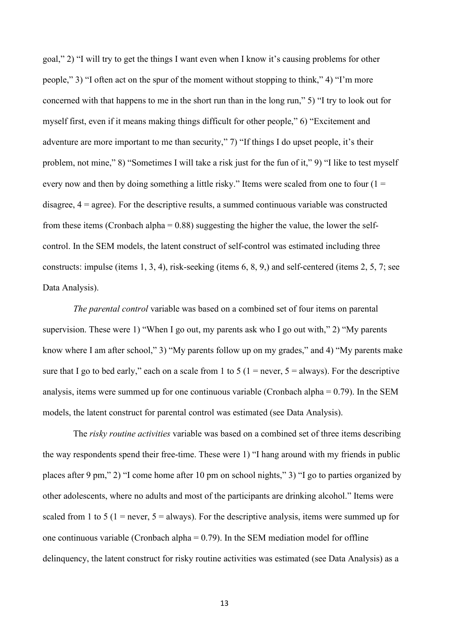goal," 2) "I will try to get the things I want even when I know it's causing problems for other people," 3) "I often act on the spur of the moment without stopping to think," 4) "I'm more concerned with that happens to me in the short run than in the long run," 5) "I try to look out for myself first, even if it means making things difficult for other people," 6) "Excitement and adventure are more important to me than security," 7) "If things I do upset people, it's their problem, not mine," 8) "Sometimes I will take a risk just for the fun of it," 9) "I like to test myself every now and then by doing something a little risky." Items were scaled from one to four  $(1 =$ disagree,  $4 =$  agree). For the descriptive results, a summed continuous variable was constructed from these items (Cronbach alpha =  $0.88$ ) suggesting the higher the value, the lower the selfcontrol. In the SEM models, the latent construct of self-control was estimated including three constructs: impulse (items 1, 3, 4), risk-seeking (items 6, 8, 9,) and self-centered (items 2, 5, 7; see Data Analysis).

*The parental control* variable was based on a combined set of four items on parental supervision. These were 1) "When I go out, my parents ask who I go out with," 2) "My parents know where I am after school," 3) "My parents follow up on my grades," and 4) "My parents make sure that I go to bed early," each on a scale from 1 to 5 ( $1 =$  never,  $5 =$  always). For the descriptive analysis, items were summed up for one continuous variable (Cronbach alpha  $= 0.79$ ). In the SEM models, the latent construct for parental control was estimated (see Data Analysis).

The *risky routine activities* variable was based on a combined set of three items describing the way respondents spend their free-time. These were 1) "I hang around with my friends in public places after 9 pm," 2) "I come home after 10 pm on school nights," 3) "I go to parties organized by other adolescents, where no adults and most of the participants are drinking alcohol." Items were scaled from 1 to 5 (1 = never,  $5 =$  always). For the descriptive analysis, items were summed up for one continuous variable (Cronbach alpha  $= 0.79$ ). In the SEM mediation model for offline delinquency, the latent construct for risky routine activities was estimated (see Data Analysis) as a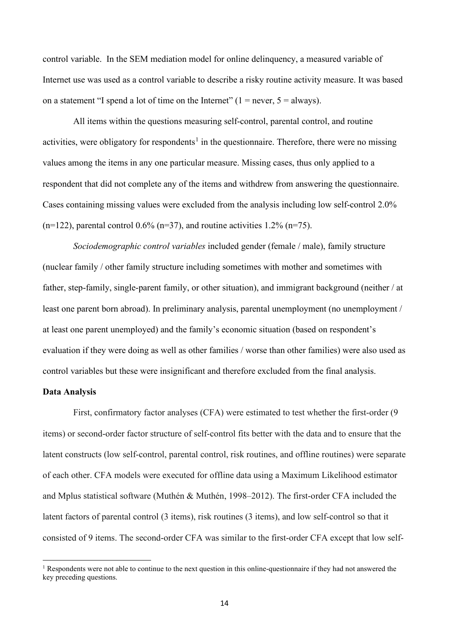control variable. In the SEM mediation model for online delinquency, a measured variable of Internet use was used as a control variable to describe a risky routine activity measure. It was based on a statement "I spend a lot of time on the Internet" ( $1 =$  never,  $5 =$  always).

All items within the questions measuring self-control, parental control, and routine activities, were obligatory for respondents<sup>[1](#page-13-0)</sup> in the questionnaire. Therefore, there were no missing values among the items in any one particular measure. Missing cases, thus only applied to a respondent that did not complete any of the items and withdrew from answering the questionnaire. Cases containing missing values were excluded from the analysis including low self-control 2.0%  $(n=122)$ , parental control 0.6%  $(n=37)$ , and routine activities 1.2%  $(n=75)$ .

*Sociodemographic control variables* included gender (female / male), family structure (nuclear family / other family structure including sometimes with mother and sometimes with father, step-family, single-parent family, or other situation), and immigrant background (neither / at least one parent born abroad). In preliminary analysis, parental unemployment (no unemployment / at least one parent unemployed) and the family's economic situation (based on respondent's evaluation if they were doing as well as other families / worse than other families) were also used as control variables but these were insignificant and therefore excluded from the final analysis.

### **Data Analysis**

First, confirmatory factor analyses (CFA) were estimated to test whether the first-order (9 items) or second-order factor structure of self-control fits better with the data and to ensure that the latent constructs (low self-control, parental control, risk routines, and offline routines) were separate of each other. CFA models were executed for offline data using a Maximum Likelihood estimator and Mplus statistical software (Muthén & Muthén, 1998–2012). The first-order CFA included the latent factors of parental control (3 items), risk routines (3 items), and low self-control so that it consisted of 9 items. The second-order CFA was similar to the first-order CFA except that low self-

<span id="page-13-0"></span><sup>&</sup>lt;sup>1</sup> Respondents were not able to continue to the next question in this online-questionnaire if they had not answered the key preceding questions.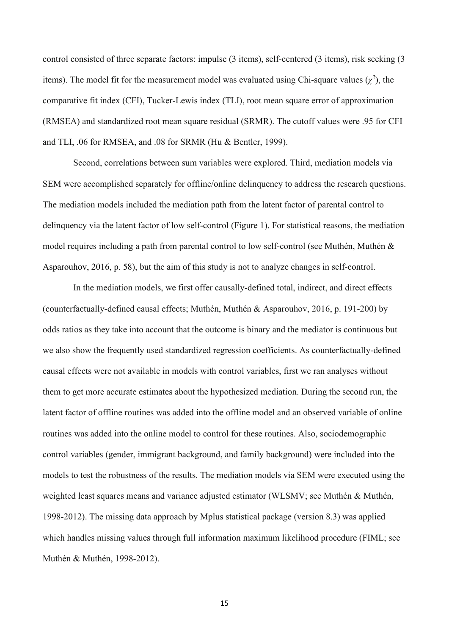control consisted of three separate factors: impulse (3 items), self-centered (3 items), risk seeking (3 items). The model fit for the measurement model was evaluated using Chi-square values  $(\chi^2)$ , the comparative fit index (CFI), Tucker-Lewis index (TLI), root mean square error of approximation (RMSEA) and standardized root mean square residual (SRMR). The cutoff values were .95 for CFI and TLI, .06 for RMSEA, and .08 for SRMR (Hu & Bentler, 1999).

Second, correlations between sum variables were explored. Third, mediation models via SEM were accomplished separately for offline/online delinquency to address the research questions. The mediation models included the mediation path from the latent factor of parental control to delinquency via the latent factor of low self-control (Figure 1). For statistical reasons, the mediation model requires including a path from parental control to low self-control (see Muthén, Muthén & Asparouhov, 2016, p. 58), but the aim of this study is not to analyze changes in self-control.

In the mediation models, we first offer causally-defined total, indirect, and direct effects (counterfactually-defined causal effects; Muthén, Muthén & Asparouhov, 2016, p. 191-200) by odds ratios as they take into account that the outcome is binary and the mediator is continuous but we also show the frequently used standardized regression coefficients. As counterfactually-defined causal effects were not available in models with control variables, first we ran analyses without them to get more accurate estimates about the hypothesized mediation. During the second run, the latent factor of offline routines was added into the offline model and an observed variable of online routines was added into the online model to control for these routines. Also, sociodemographic control variables (gender, immigrant background, and family background) were included into the models to test the robustness of the results. The mediation models via SEM were executed using the weighted least squares means and variance adjusted estimator (WLSMV; see Muthén & Muthén, 1998-2012). The missing data approach by Mplus statistical package (version 8.3) was applied which handles missing values through full information maximum likelihood procedure (FIML; see Muthén & Muthén, 1998-2012).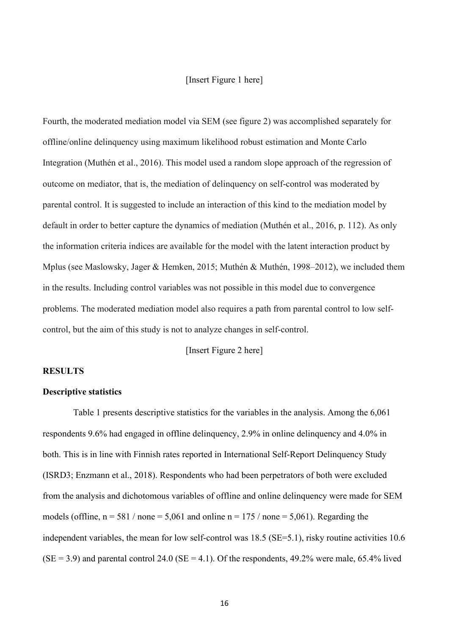### [Insert Figure 1 here]

Fourth, the moderated mediation model via SEM (see figure 2) was accomplished separately for offline/online delinquency using maximum likelihood robust estimation and Monte Carlo Integration (Muthén et al., 2016). This model used a random slope approach of the regression of outcome on mediator, that is, the mediation of delinquency on self-control was moderated by parental control. It is suggested to include an interaction of this kind to the mediation model by default in order to better capture the dynamics of mediation (Muthén et al., 2016, p. 112). As only the information criteria indices are available for the model with the latent interaction product by Mplus (see Maslowsky, Jager & Hemken, 2015; Muthén & Muthén, 1998–2012), we included them in the results. Including control variables was not possible in this model due to convergence problems. The moderated mediation model also requires a path from parental control to low selfcontrol, but the aim of this study is not to analyze changes in self-control.

[Insert Figure 2 here]

# **RESULTS**

#### **Descriptive statistics**

Table 1 presents descriptive statistics for the variables in the analysis. Among the 6,061 respondents 9.6% had engaged in offline delinquency, 2.9% in online delinquency and 4.0% in both. This is in line with Finnish rates reported in International Self-Report Delinquency Study (ISRD3; Enzmann et al., 2018). Respondents who had been perpetrators of both were excluded from the analysis and dichotomous variables of offline and online delinquency were made for SEM models (offline,  $n = 581 / n$  one = 5,061 and online  $n = 175 / n$  one = 5,061). Regarding the independent variables, the mean for low self-control was 18.5 (SE=5.1), risky routine activities 10.6  $(SE = 3.9)$  and parental control 24.0 ( $SE = 4.1$ ). Of the respondents, 49.2% were male, 65.4% lived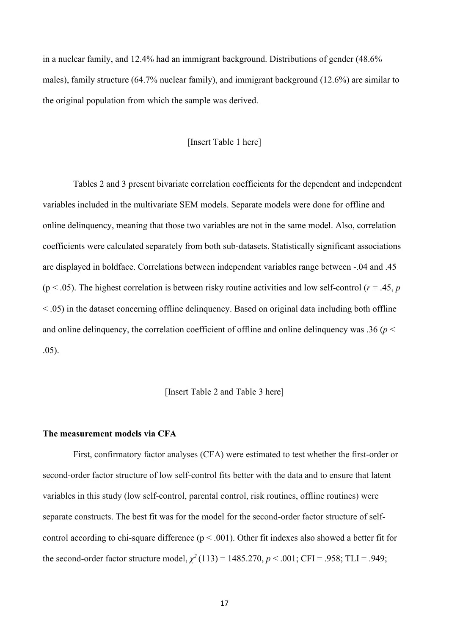in a nuclear family, and 12.4% had an immigrant background. Distributions of gender (48.6% males), family structure (64.7% nuclear family), and immigrant background (12.6%) are similar to the original population from which the sample was derived.

#### [Insert Table 1 here]

Tables 2 and 3 present bivariate correlation coefficients for the dependent and independent variables included in the multivariate SEM models. Separate models were done for offline and online delinquency, meaning that those two variables are not in the same model. Also, correlation coefficients were calculated separately from both sub-datasets. Statistically significant associations are displayed in boldface. Correlations between independent variables range between -.04 and .45 ( $p < .05$ ). The highest correlation is between risky routine activities and low self-control ( $r = .45$ ,  $p$ < .05) in the dataset concerning offline delinquency. Based on original data including both offline and online delinquency, the correlation coefficient of offline and online delinquency was .36 (*p* < .05).

### [Insert Table 2 and Table 3 here]

#### **The measurement models via CFA**

First, confirmatory factor analyses (CFA) were estimated to test whether the first-order or second-order factor structure of low self-control fits better with the data and to ensure that latent variables in this study (low self-control, parental control, risk routines, offline routines) were separate constructs. The best fit was for the model for the second-order factor structure of selfcontrol according to chi-square difference ( $p < .001$ ). Other fit indexes also showed a better fit for the second-order factor structure model,  $\chi^2(113) = 1485.270, p < .001$ ; CFI = .958; TLI = .949;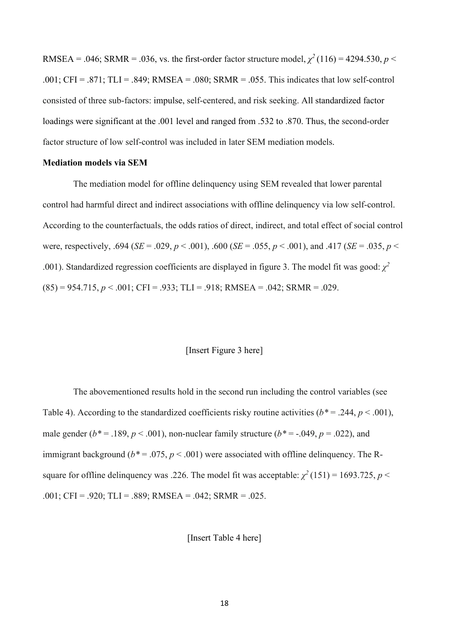RMSEA = .046; SRMR = .036, vs. the first-order factor structure model,  $\chi^2$  (116) = 4294.530, *p* < .001; CFI = .871; TLI = .849; RMSEA = .080; SRMR = .055. This indicates that low self-control consisted of three sub-factors: impulse, self-centered, and risk seeking. All standardized factor loadings were significant at the .001 level and ranged from .532 to .870. Thus, the second-order factor structure of low self-control was included in later SEM mediation models.

#### **Mediation models via SEM**

The mediation model for offline delinquency using SEM revealed that lower parental control had harmful direct and indirect associations with offline delinquency via low self-control. According to the counterfactuals, the odds ratios of direct, indirect, and total effect of social control were, respectively, .694 (*SE* = .029,  $p < .001$ ), .600 (*SE* = .055,  $p < .001$ ), and .417 (*SE* = .035,  $p <$ .001). Standardized regression coefficients are displayed in figure 3. The model fit was good:  $\chi^2$  $(85) = 954.715$ ,  $p < .001$ ; CFI = .933; TLI = .918; RMSEA = .042; SRMR = .029.

# [Insert Figure 3 here]

The abovementioned results hold in the second run including the control variables (see Table 4). According to the standardized coefficients risky routine activities  $(b^* = .244, p < .001)$ , male gender ( $b^*$  = .189,  $p$  < .001), non-nuclear family structure ( $b^*$  = -.049,  $p$  = .022), and immigrant background ( $b^* = .075$ ,  $p < .001$ ) were associated with offline delinquency. The Rsquare for offline delinquency was .226. The model fit was acceptable:  $\chi^2(151) = 1693.725$ ,  $p <$ .001; CFI = .920; TLI = .889; RMSEA = .042; SRMR = .025.

[Insert Table 4 here]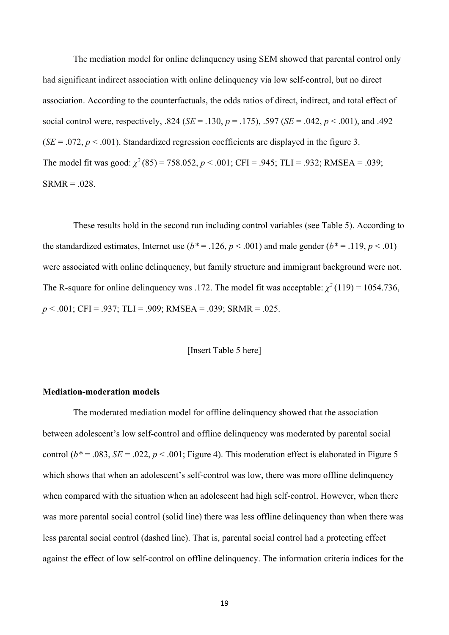The mediation model for online delinquency using SEM showed that parental control only had significant indirect association with online delinquency via low self-control, but no direct association. According to the counterfactuals, the odds ratios of direct, indirect, and total effect of social control were, respectively, .824 (*SE* = .130,  $p = .175$ ), .597 (*SE* = .042,  $p < .001$ ), and .492  $(SE = .072, p < .001)$ . Standardized regression coefficients are displayed in the figure 3. The model fit was good: *χ<sup>2</sup>* (85) = 758.052, *p* < .001; CFI = .945; TLI = .932; RMSEA = .039;  $SRMR = .028$ .

These results hold in the second run including control variables (see Table 5). According to the standardized estimates, Internet use  $(b^* = .126, p < .001)$  and male gender  $(b^* = .119, p < .01)$ were associated with online delinquency, but family structure and immigrant background were not. The R-square for online delinquency was .172. The model fit was acceptable:  $\chi^2(119) = 1054.736$ , *p* < .001; CFI = .937; TLI = .909; RMSEA = .039; SRMR = .025.

[Insert Table 5 here]

#### **Mediation-moderation models**

The moderated mediation model for offline delinquency showed that the association between adolescent's low self-control and offline delinquency was moderated by parental social control ( $b^* = .083$ ,  $SE = .022$ ,  $p < .001$ ; Figure 4). This moderation effect is elaborated in Figure 5 which shows that when an adolescent's self-control was low, there was more offline delinquency when compared with the situation when an adolescent had high self-control. However, when there was more parental social control (solid line) there was less offline delinquency than when there was less parental social control (dashed line). That is, parental social control had a protecting effect against the effect of low self-control on offline delinquency. The information criteria indices for the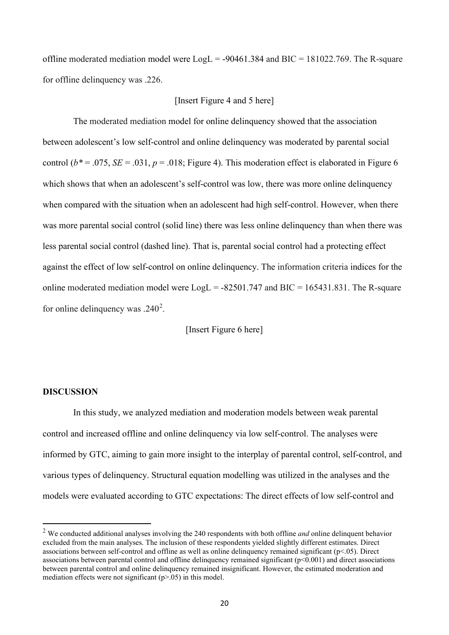offline moderated mediation model were  $LogL = -90461.384$  and BIC = 181022.769. The R-square for offline delinquency was .226.

### [Insert Figure 4 and 5 here]

The moderated mediation model for online delinquency showed that the association between adolescent's low self-control and online delinquency was moderated by parental social control ( $b^* = .075$ ,  $SE = .031$ ,  $p = .018$ ; Figure 4). This moderation effect is elaborated in Figure 6 which shows that when an adolescent's self-control was low, there was more online delinquency when compared with the situation when an adolescent had high self-control. However, when there was more parental social control (solid line) there was less online delinquency than when there was less parental social control (dashed line). That is, parental social control had a protecting effect against the effect of low self-control on online delinquency. The information criteria indices for the online moderated mediation model were  $LogL = -82501.747$  and BIC = 165431.831. The R-square for online delinquency was  $.240<sup>2</sup>$  $.240<sup>2</sup>$  $.240<sup>2</sup>$ .

[Insert Figure 6 here]

# **DISCUSSION**

In this study, we analyzed mediation and moderation models between weak parental control and increased offline and online delinquency via low self-control. The analyses were informed by GTC, aiming to gain more insight to the interplay of parental control, self-control, and various types of delinquency. Structural equation modelling was utilized in the analyses and the models were evaluated according to GTC expectations: The direct effects of low self-control and

<span id="page-19-0"></span><sup>2</sup> We conducted additional analyses involving the 240 respondents with both offline *and* online delinquent behavior excluded from the main analyses. The inclusion of these respondents yielded slightly different estimates. Direct associations between self-control and offline as well as online delinquency remained significant (p<.05). Direct associations between parental control and offline delinquency remained significant (p<0.001) and direct associations between parental control and online delinquency remained insignificant. However, the estimated moderation and mediation effects were not significant  $(p>0.05)$  in this model.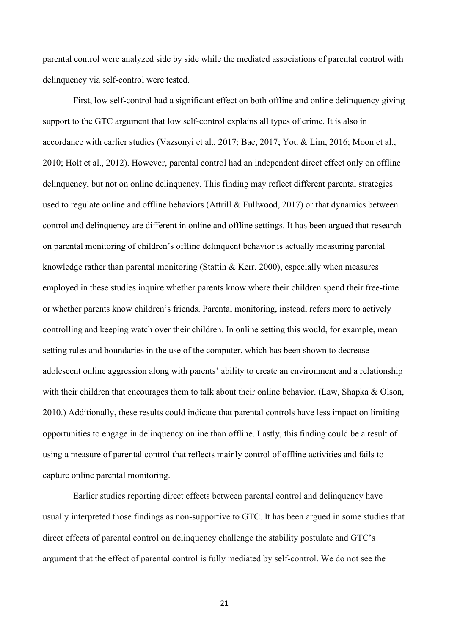parental control were analyzed side by side while the mediated associations of parental control with delinquency via self-control were tested.

First, low self-control had a significant effect on both offline and online delinquency giving support to the GTC argument that low self-control explains all types of crime. It is also in accordance with earlier studies (Vazsonyi et al., 2017; Bae, 2017; You & Lim, 2016; Moon et al., 2010; Holt et al., 2012). However, parental control had an independent direct effect only on offline delinquency, but not on online delinquency. This finding may reflect different parental strategies used to regulate online and offline behaviors (Attrill  $\&$  Fullwood, 2017) or that dynamics between control and delinquency are different in online and offline settings. It has been argued that research on parental monitoring of children's offline delinquent behavior is actually measuring parental knowledge rather than parental monitoring (Stattin & Kerr, 2000), especially when measures employed in these studies inquire whether parents know where their children spend their free-time or whether parents know children's friends. Parental monitoring, instead, refers more to actively controlling and keeping watch over their children. In online setting this would, for example, mean setting rules and boundaries in the use of the computer, which has been shown to decrease adolescent online aggression along with parents' ability to create an environment and a relationship with their children that encourages them to talk about their online behavior. (Law, Shapka & Olson, 2010.) Additionally, these results could indicate that parental controls have less impact on limiting opportunities to engage in delinquency online than offline. Lastly, this finding could be a result of using a measure of parental control that reflects mainly control of offline activities and fails to capture online parental monitoring.

Earlier studies reporting direct effects between parental control and delinquency have usually interpreted those findings as non-supportive to GTC. It has been argued in some studies that direct effects of parental control on delinquency challenge the stability postulate and GTC's argument that the effect of parental control is fully mediated by self-control. We do not see the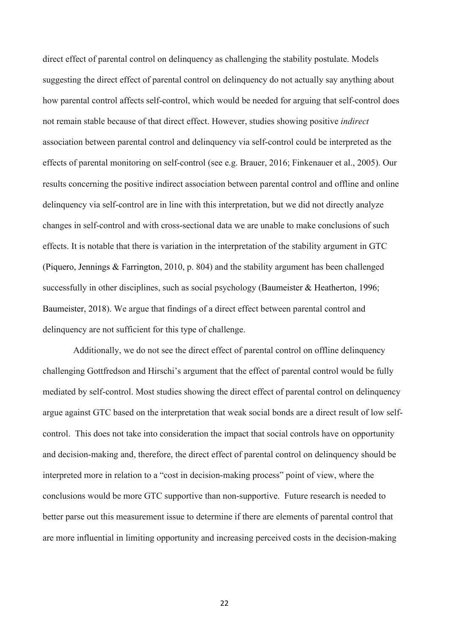direct effect of parental control on delinquency as challenging the stability postulate. Models suggesting the direct effect of parental control on delinquency do not actually say anything about how parental control affects self-control, which would be needed for arguing that self-control does not remain stable because of that direct effect. However, studies showing positive *indirect* association between parental control and delinquency via self-control could be interpreted as the effects of parental monitoring on self-control (see e.g. Brauer, 2016; Finkenauer et al., 2005). Our results concerning the positive indirect association between parental control and offline and online delinquency via self-control are in line with this interpretation, but we did not directly analyze changes in self-control and with cross-sectional data we are unable to make conclusions of such effects. It is notable that there is variation in the interpretation of the stability argument in GTC (Piquero, Jennings & Farrington, 2010, p. 804) and the stability argument has been challenged successfully in other disciplines, such as social psychology (Baumeister & Heatherton, 1996; Baumeister, 2018). We argue that findings of a direct effect between parental control and delinquency are not sufficient for this type of challenge.

Additionally, we do not see the direct effect of parental control on offline delinquency challenging Gottfredson and Hirschi's argument that the effect of parental control would be fully mediated by self-control. Most studies showing the direct effect of parental control on delinquency argue against GTC based on the interpretation that weak social bonds are a direct result of low selfcontrol. This does not take into consideration the impact that social controls have on opportunity and decision-making and, therefore, the direct effect of parental control on delinquency should be interpreted more in relation to a "cost in decision-making process" point of view, where the conclusions would be more GTC supportive than non-supportive. Future research is needed to better parse out this measurement issue to determine if there are elements of parental control that are more influential in limiting opportunity and increasing perceived costs in the decision-making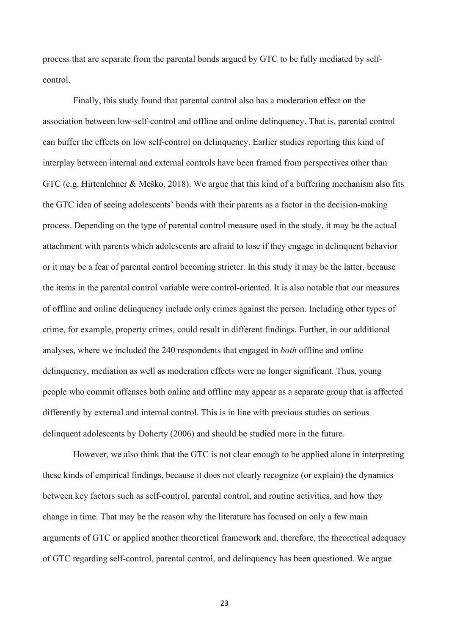process that are separate from the parental bonds argued by GTC to be fully mediated by selfcontrol.

Finally, this study found that parental control also has a moderation effect on the association between low-self-control and offline and online delinquency. That is, parental control can buffer the effects on low self-control on delinquency. Earlier studies reporting this kind of interplay between internal and external controls have been framed from perspectives other than GTC (e.g. Hirtenlehner & Meško, 2018). We argue that this kind of a buffering mechanism also fits the GTC idea of seeing adolescents' bonds with their parents as a factor in the decision-making process. Depending on the type of parental control measure used in the study, it may be the actual attachment with parents which adolescents are afraid to lose if they engage in delinquent behavior or it may be a fear of parental control becoming stricter. In this study it may be the latter, because the items in the parental control variable were control-oriented. It is also notable that our measures of offline and online delinquency include only crimes against the person. Including other types of crime, for example, property crimes, could result in different findings. Further, in our additional analyses, where we included the 240 respondents that engaged in *both* offline and online delinquency, mediation as well as moderation effects were no longer significant. Thus, young people who commit offenses both online and offline may appear as a separate group that is affected differently by external and internal control. This is in line with previous studies on serious delinquent adolescents by Doherty (2006) and should be studied more in the future.

However, we also think that the GTC is not clear enough to be applied alone in interpreting these kinds of empirical findings, because it does not clearly recognize (or explain) the dynamics between key factors such as self-control, parental control, and routine activities, and how they change in time. That may be the reason why the literature has focused on only a few main arguments of GTC or applied another theoretical framework and, therefore, the theoretical adequacy of GTC regarding self-control, parental control, and delinquency has been questioned. We argue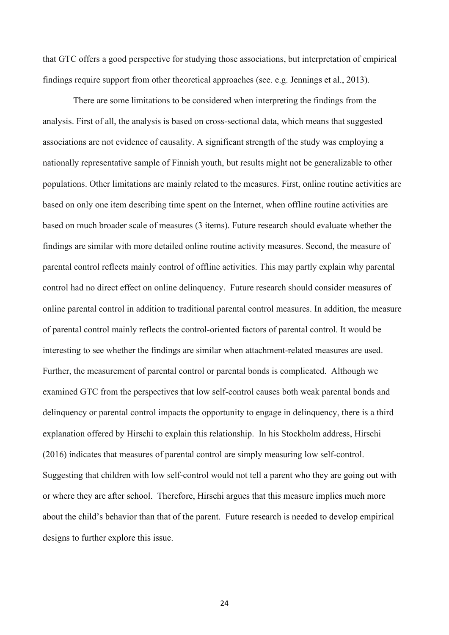that GTC offers a good perspective for studying those associations, but interpretation of empirical findings require support from other theoretical approaches (see. e.g. Jennings et al., 2013).

There are some limitations to be considered when interpreting the findings from the analysis. First of all, the analysis is based on cross-sectional data, which means that suggested associations are not evidence of causality. A significant strength of the study was employing a nationally representative sample of Finnish youth, but results might not be generalizable to other populations. Other limitations are mainly related to the measures. First, online routine activities are based on only one item describing time spent on the Internet, when offline routine activities are based on much broader scale of measures (3 items). Future research should evaluate whether the findings are similar with more detailed online routine activity measures. Second, the measure of parental control reflects mainly control of offline activities. This may partly explain why parental control had no direct effect on online delinquency. Future research should consider measures of online parental control in addition to traditional parental control measures. In addition, the measure of parental control mainly reflects the control-oriented factors of parental control. It would be interesting to see whether the findings are similar when attachment-related measures are used. Further, the measurement of parental control or parental bonds is complicated. Although we examined GTC from the perspectives that low self-control causes both weak parental bonds and delinquency or parental control impacts the opportunity to engage in delinquency, there is a third explanation offered by Hirschi to explain this relationship. In his Stockholm address, Hirschi (2016) indicates that measures of parental control are simply measuring low self-control. Suggesting that children with low self-control would not tell a parent who they are going out with or where they are after school. Therefore, Hirschi argues that this measure implies much more about the child's behavior than that of the parent. Future research is needed to develop empirical designs to further explore this issue.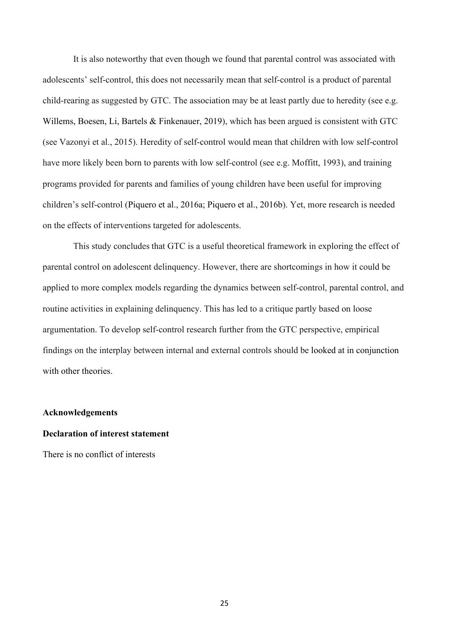It is also noteworthy that even though we found that parental control was associated with adolescents' self-control, this does not necessarily mean that self-control is a product of parental child-rearing as suggested by GTC. The association may be at least partly due to heredity (see e.g. Willems, Boesen, Li, Bartels & Finkenauer, 2019), which has been argued is consistent with GTC (see Vazonyi et al., 2015). Heredity of self-control would mean that children with low self-control have more likely been born to parents with low self-control (see e.g. Moffitt, 1993), and training programs provided for parents and families of young children have been useful for improving children's self-control (Piquero et al., 2016a; Piquero et al., 2016b). Yet, more research is needed on the effects of interventions targeted for adolescents.

This study concludes that GTC is a useful theoretical framework in exploring the effect of parental control on adolescent delinquency. However, there are shortcomings in how it could be applied to more complex models regarding the dynamics between self-control, parental control, and routine activities in explaining delinquency. This has led to a critique partly based on loose argumentation. To develop self-control research further from the GTC perspective, empirical findings on the interplay between internal and external controls should be looked at in conjunction with other theories.

## **Acknowledgements**

# **Declaration of interest statement**

There is no conflict of interests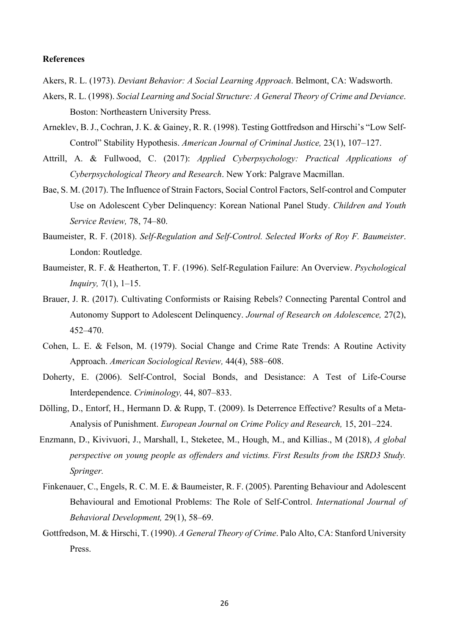### **References**

- Akers, R. L. (1973). *Deviant Behavior: A Social Learning Approach*. Belmont, CA: Wadsworth.
- Akers, R. L. (1998). *Social Learning and Social Structure: A General Theory of Crime and Deviance*. Boston: Northeastern University Press.
- Arneklev, B. J., Cochran, J. K. & Gainey, R. R. (1998). Testing Gottfredson and Hirschi's "Low Self-Control" Stability Hypothesis. *American Journal of Criminal Justice,* 23(1), 107–127.
- Attrill, A. & Fullwood, C. (2017): *Applied Cyberpsychology: Practical Applications of Cyberpsychological Theory and Research*. New York: Palgrave Macmillan.
- Bae, S. M. (2017). The Influence of Strain Factors, Social Control Factors, Self-control and Computer Use on Adolescent Cyber Delinquency: Korean National Panel Study. *Children and Youth Service Review,* 78, 74–80.
- Baumeister, R. F. (2018). *Self-Regulation and Self-Control. Selected Works of Roy F. Baumeister*. London: Routledge.
- Baumeister, R. F. & Heatherton, T. F. (1996). Self-Regulation Failure: An Overview. *Psychological Inquiry,* 7(1), 1–15.
- Brauer, J. R. (2017). Cultivating Conformists or Raising Rebels? Connecting Parental Control and Autonomy Support to Adolescent Delinquency. *Journal of Research on Adolescence,* 27(2), 452–470.
- Cohen, L. E. & Felson, M. (1979). Social Change and Crime Rate Trends: A Routine Activity Approach. *American Sociological Review,* 44(4), 588–608.
- Doherty, E. (2006). Self-Control, Social Bonds, and Desistance: A Test of Life-Course Interdependence. *Criminology,* 44, 807–833.
- Dölling, D., Entorf, H., Hermann D. & Rupp, T. (2009). Is Deterrence Effective? Results of a Meta-Analysis of Punishment. *European Journal on Crime Policy and Research,* 15, 201–224.
- Enzmann, D., Kivivuori, J., Marshall, I., Steketee, M., Hough, M., and Killias., M (2018), *A global perspective on young people as offenders and victims. First Results from the ISRD3 Study. Springer.*
- Finkenauer, C., Engels, R. C. M. E. & Baumeister, R. F. (2005). Parenting Behaviour and Adolescent Behavioural and Emotional Problems: The Role of Self-Control. *International Journal of Behavioral Development,* 29(1), 58–69.
- Gottfredson, M. & Hirschi, T. (1990). *A General Theory of Crime*. Palo Alto, CA: Stanford University Press.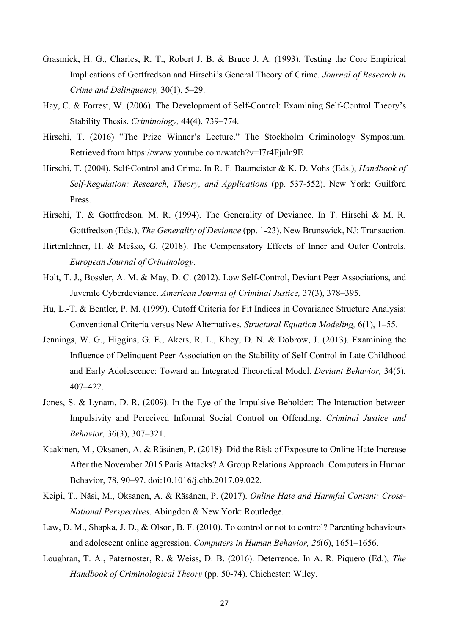- Grasmick, H. G., Charles, R. T., Robert J. B. & Bruce J. A. (1993). Testing the Core Empirical Implications of Gottfredson and Hirschi's General Theory of Crime. *Journal of Research in Crime and Delinquency,* 30(1), 5–29.
- Hay, C. & Forrest, W. (2006). The Development of Self-Control: Examining Self-Control Theory's Stability Thesis. *Criminology,* 44(4), 739–774.
- Hirschi, T. (2016) "The Prize Winner's Lecture." The Stockholm Criminology Symposium. Retrieved from https://www.youtube.com/watch?v=I7r4Fjnln9E
- Hirschi, T. (2004). Self-Control and Crime. In R. F. Baumeister & K. D. Vohs (Eds.), *Handbook of Self-Regulation: Research, Theory, and Applications* (pp. 537-552). New York: Guilford Press.
- Hirschi, T. & Gottfredson. M. R. (1994). The Generality of Deviance. In T. Hirschi & M. R. Gottfredson (Eds.), *The Generality of Deviance* (pp. 1-23). New Brunswick, NJ: Transaction.
- Hirtenlehner, H. & Meško, G. (2018). The Compensatory Effects of Inner and Outer Controls. *European Journal of Criminology*.
- Holt, T. J., Bossler, A. M. & May, D. C. (2012). Low Self-Control, Deviant Peer Associations, and Juvenile Cyberdeviance. *American Journal of Criminal Justice,* 37(3), 378–395.
- Hu, L.-T. & Bentler, P. M. (1999). Cutoff Criteria for Fit Indices in Covariance Structure Analysis: Conventional Criteria versus New Alternatives. *Structural Equation Modeling,* 6(1), 1–55.
- Jennings, W. G., Higgins, G. E., Akers, R. L., Khey, D. N. & Dobrow, J. (2013). Examining the Influence of Delinquent Peer Association on the Stability of Self-Control in Late Childhood and Early Adolescence: Toward an Integrated Theoretical Model. *Deviant Behavior,* 34(5), 407–422.
- Jones, S. & Lynam, D. R. (2009). In the Eye of the Impulsive Beholder: The Interaction between Impulsivity and Perceived Informal Social Control on Offending. *Criminal Justice and Behavior,* 36(3), 307–321.
- Kaakinen, M., Oksanen, A. & Räsänen, P. (2018). Did the Risk of Exposure to Online Hate Increase After the November 2015 Paris Attacks? A Group Relations Approach. Computers in Human Behavior, 78, 90–97. doi:10.1016/j.chb.2017.09.022.
- Keipi, T., Näsi, M., Oksanen, A. & Räsänen, P. (2017). *Online Hate and Harmful Content: Cross-National Perspectives*. Abingdon & New York: Routledge.
- Law, D. M., Shapka, J. D., & Olson, B. F. (2010). To control or not to control? Parenting behaviours and adolescent online aggression. *Computers in Human Behavior, 26*(6), 1651–1656.
- Loughran, T. A., Paternoster, R. & Weiss, D. B. (2016). Deterrence. In A. R. Piquero (Ed.), *The Handbook of Criminological Theory* (pp. 50-74). Chichester: Wiley.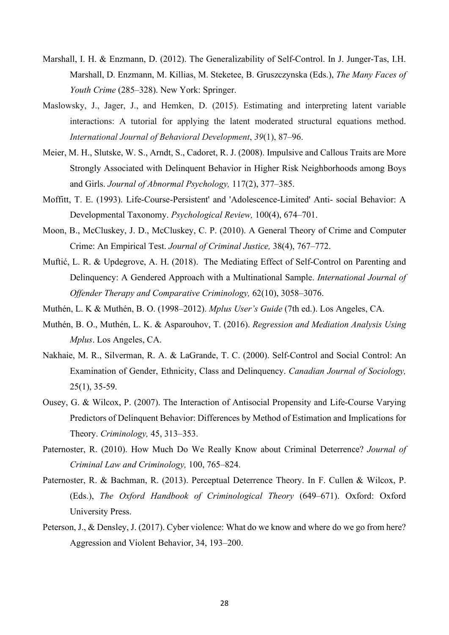- Marshall, I. H. & Enzmann, D. (2012). The Generalizability of Self-Control. In J. Junger-Tas, I.H. Marshall, D. Enzmann, M. Killias, M. Steketee, B. Gruszczynska (Eds.), *The Many Faces of Youth Crime* (285–328). New York: Springer.
- Maslowsky, J., Jager, J., and Hemken, D. (2015). Estimating and interpreting latent variable interactions: A tutorial for applying the latent moderated structural equations method. *International Journal of Behavioral Development*, *39*(1), 87–96.
- Meier, M. H., Slutske, W. S., Arndt, S., Cadoret, R. J. (2008). Impulsive and Callous Traits are More Strongly Associated with Delinquent Behavior in Higher Risk Neighborhoods among Boys and Girls. *Journal of Abnormal Psychology,* 117(2), 377–385.
- Moffitt, T. E. (1993). Life-Course-Persistent' and 'Adolescence-Limited' Anti- social Behavior: A Developmental Taxonomy. *Psychological Review,* 100(4), 674–701.
- Moon, B., McCluskey, J. D., McCluskey, C. P. (2010). A General Theory of Crime and Computer Crime: An Empirical Test. *Journal of Criminal Justice,* 38(4), 767–772.
- Muftić, L. R. & Updegrove, A. H. (2018). The Mediating Effect of Self-Control on Parenting and Delinquency: A Gendered Approach with a Multinational Sample. *International Journal of Offender Therapy and Comparative Criminology,* 62(10), 3058–3076.
- Muthén, L. K & Muthén, B. O. (1998–2012). *Mplus User's Guide* (7th ed.). Los Angeles, CA.
- Muthén, B. O., Muthén, L. K. & Asparouhov, T. (2016). *Regression and Mediation Analysis Using Mplus*. Los Angeles, CA.
- Nakhaie, M. R., Silverman, R. A. & LaGrande, T. C. (2000). Self-Control and Social Control: An Examination of Gender, Ethnicity, Class and Delinquency. *Canadian Journal of Sociology,* 25(1), 35-59.
- Ousey, G. & Wilcox, P. (2007). The Interaction of Antisocial Propensity and Life-Course Varying Predictors of Delinquent Behavior: Differences by Method of Estimation and Implications for Theory. *Criminology,* 45, 313–353.
- Paternoster, R. (2010). How Much Do We Really Know about Criminal Deterrence? *Journal of Criminal Law and Criminology,* 100, 765–824.
- Paternoster, R. & Bachman, R. (2013). Perceptual Deterrence Theory. In F. Cullen & Wilcox, P. (Eds.), *The Oxford Handbook of Criminological Theory* (649–671). Oxford: Oxford University Press.
- Peterson, J., & Densley, J. (2017). Cyber violence: What do we know and where do we go from here? Aggression and Violent Behavior, 34, 193–200.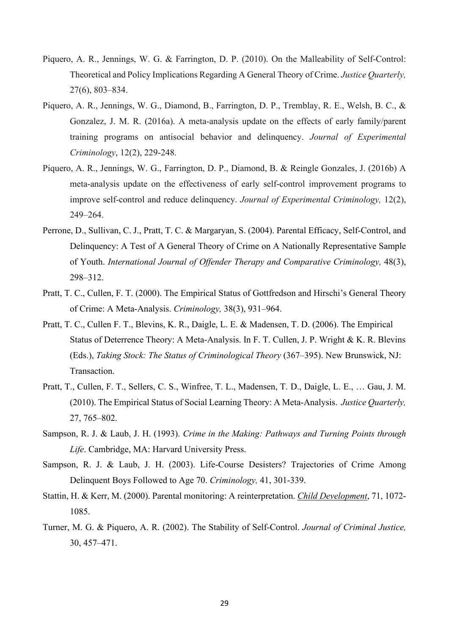- Piquero, A. R., Jennings, W. G. & Farrington, D. P. (2010). On the Malleability of Self-Control: Theoretical and Policy Implications Regarding A General Theory of Crime. *Justice Quarterly,* 27(6), 803–834.
- Piquero, A. R., Jennings, W. G., Diamond, B., Farrington, D. P., Tremblay, R. E., Welsh, B. C., & Gonzalez, J. M. R. (2016a). A meta-analysis update on the effects of early family/parent training programs on antisocial behavior and delinquency. *Journal of Experimental Criminology*, 12(2), 229-248.
- Piquero, A. R., Jennings, W. G., Farrington, D. P., Diamond, B. & Reingle Gonzales, J. (2016b) A meta-analysis update on the effectiveness of early self-control improvement programs to improve self-control and reduce delinquency. *Journal of Experimental Criminology,* 12(2), 249–264.
- Perrone, D., Sullivan, C. J., Pratt, T. C. & Margaryan, S. (2004). Parental Efficacy, Self-Control, and Delinquency: A Test of A General Theory of Crime on A Nationally Representative Sample of Youth. *International Journal of Offender Therapy and Comparative Criminology,* 48(3), 298–312.
- Pratt, T. C., Cullen, F. T. (2000). The Empirical Status of Gottfredson and Hirschi's General Theory of Crime: A Meta-Analysis. *Criminology,* 38(3), 931–964.
- Pratt, T. C., Cullen F. T., Blevins, K. R., Daigle, L. E. & Madensen, T. D. (2006). The Empirical Status of Deterrence Theory: A Meta-Analysis. In F. T. Cullen, J. P. Wright & K. R. Blevins (Eds.), *Taking Stock: The Status of Criminological Theory* (367–395). New Brunswick, NJ: Transaction.
- Pratt, T., Cullen, F. T., Sellers, C. S., Winfree, T. L., Madensen, T. D., Daigle, L. E., … Gau, J. M. (2010). The Empirical Status of Social Learning Theory: A Meta-Analysis. *Justice Quarterly,* 27, 765–802.
- Sampson, R. J. & Laub, J. H. (1993). *Crime in the Making: Pathways and Turning Points through Life*. Cambridge, MA: Harvard University Press.
- Sampson, R. J. & Laub, J. H. (2003). Life-Course Desisters? Trajectories of Crime Among Delinquent Boys Followed to Age 70. *Criminology,* 41, 301-339.
- Stattin, H. & Kerr, M. (2000). Parental monitoring: A reinterpretation. *Child Development*, 71, 1072- 1085.
- Turner, M. G. & Piquero, A. R. (2002). The Stability of Self-Control. *Journal of Criminal Justice,* 30, 457–471.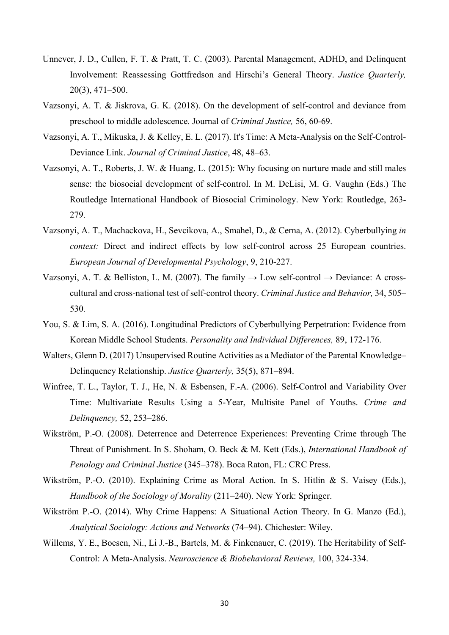- Unnever, J. D., Cullen, F. T. & Pratt, T. C. (2003). Parental Management, ADHD, and Delinquent Involvement: Reassessing Gottfredson and Hirschi's General Theory. *Justice Quarterly,* 20(3), 471–500.
- Vazsonyi, A. T. & Jiskrova, G. K. (2018). On the development of self-control and deviance from preschool to middle adolescence. Journal of *Criminal Justice,* 56, 60-69.
- Vazsonyi, A. T., Mikuska, J. & Kelley, E. L. (2017). It's Time: A Meta-Analysis on the Self-Control-Deviance Link. *Journal of Criminal Justice*, 48, 48–63.
- Vazsonyi, A. T., Roberts, J. W. & Huang, L. (2015): Why focusing on nurture made and still males sense: the biosocial development of self-control. In M. DeLisi, M. G. Vaughn (Eds.) The Routledge International Handbook of Biosocial Criminology. New York: Routledge, 263- 279.
- Vazsonyi, A. T., Machackova, H., Sevcikova, A., Smahel, D., & Cerna, A. (2012). Cyberbullying *in context:* Direct and indirect effects by low self-control across 25 European countries. *European Journal of Developmental Psychology*, 9, 210-227.
- Vazsonyi, A. T. & Belliston, L. M. (2007). The family  $\rightarrow$  Low self-control  $\rightarrow$  Deviance: A crosscultural and cross-national test of self-control theory. *Criminal Justice and Behavior,* 34, 505– 530.
- You, S. & Lim, S. A. (2016). Longitudinal Predictors of Cyberbullying Perpetration: Evidence from Korean Middle School Students. *Personality and Individual Differences,* 89, 172-176.
- Walters, Glenn D. (2017) Unsupervised Routine Activities as a Mediator of the Parental Knowledge– Delinquency Relationship. *Justice Quarterly,* 35(5), 871–894.
- Winfree, T. L., Taylor, T. J., He, N. & Esbensen, F.-A. (2006). Self-Control and Variability Over Time: Multivariate Results Using a 5-Year, Multisite Panel of Youths. *Crime and Delinquency,* 52, 253–286.
- Wikström, P.-O. (2008). Deterrence and Deterrence Experiences: Preventing Crime through The Threat of Punishment. In S. Shoham, O. Beck & M. Kett (Eds.), *International Handbook of Penology and Criminal Justice* (345–378). Boca Raton, FL: CRC Press.
- Wikström, P.-O. (2010). Explaining Crime as Moral Action. In S. Hitlin & S. Vaisey (Eds.), *Handbook of the Sociology of Morality* (211–240). New York: Springer.
- Wikström P.-O. (2014). Why Crime Happens: A Situational Action Theory. In G. Manzo (Ed.), *Analytical Sociology: Actions and Networks* (74–94). Chichester: Wiley.
- Willems, Y. E., Boesen, Ni., Li J.-B., Bartels, M. & Finkenauer, C. (2019). The Heritability of Self-Control: A Meta-Analysis. *Neuroscience & Biobehavioral Reviews,* 100, 324-334.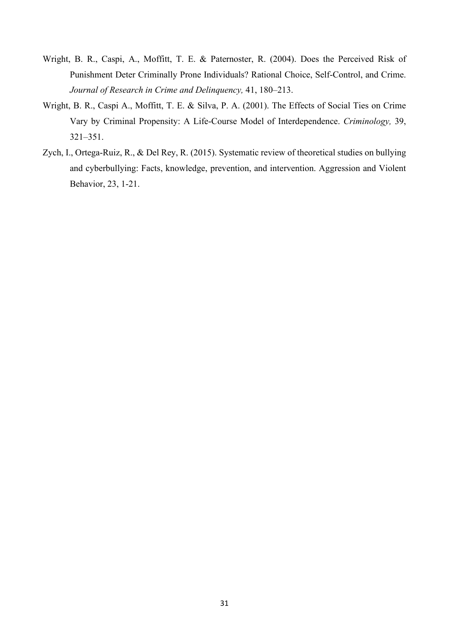- Wright, B. R., Caspi, A., Moffitt, T. E. & Paternoster, R. (2004). Does the Perceived Risk of Punishment Deter Criminally Prone Individuals? Rational Choice, Self-Control, and Crime. *Journal of Research in Crime and Delinquency,* 41, 180–213.
- Wright, B. R., Caspi A., Moffitt, T. E. & Silva, P. A. (2001). The Effects of Social Ties on Crime Vary by Criminal Propensity: A Life-Course Model of Interdependence. *Criminology,* 39, 321–351.
- Zych, I., Ortega-Ruiz, R., & Del Rey, R. (2015). Systematic review of theoretical studies on bullying and cyberbullying: Facts, knowledge, prevention, and intervention. Aggression and Violent Behavior, 23, 1-21.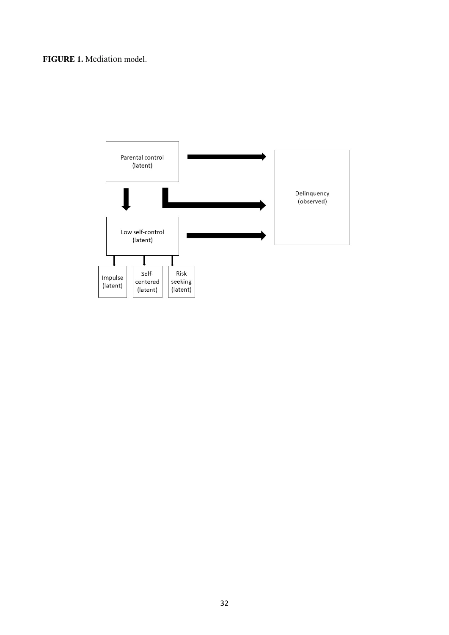# **FIGURE 1.** Mediation model.

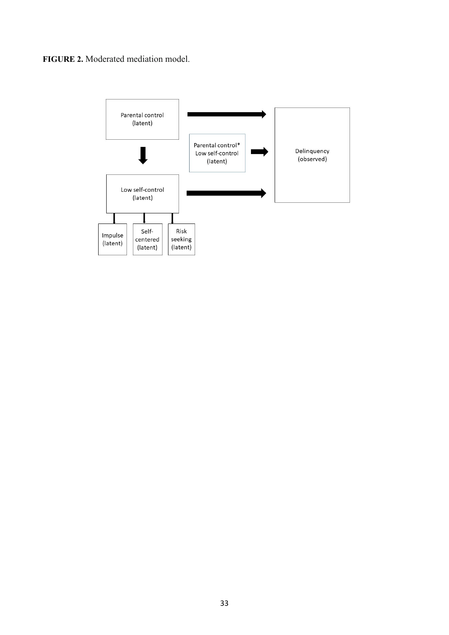**FIGURE 2.** Moderated mediation model.

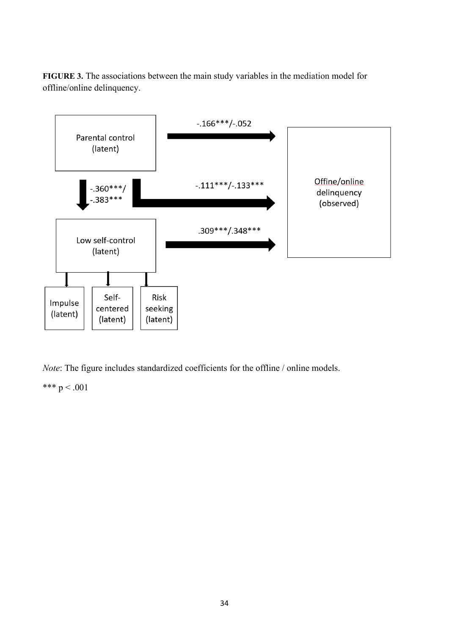**FIGURE 3.** The associations between the main study variables in the mediation model for offline/online delinquency.



*Note*: The figure includes standardized coefficients for the offline / online models.

\*\*\*  $p < .001$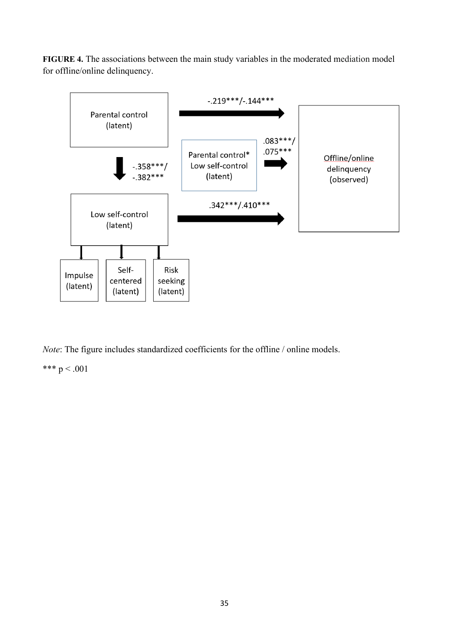**FIGURE 4.** The associations between the main study variables in the moderated mediation model for offline/online delinquency.



*Note*: The figure includes standardized coefficients for the offline / online models.

\*\*\*  $p < .001$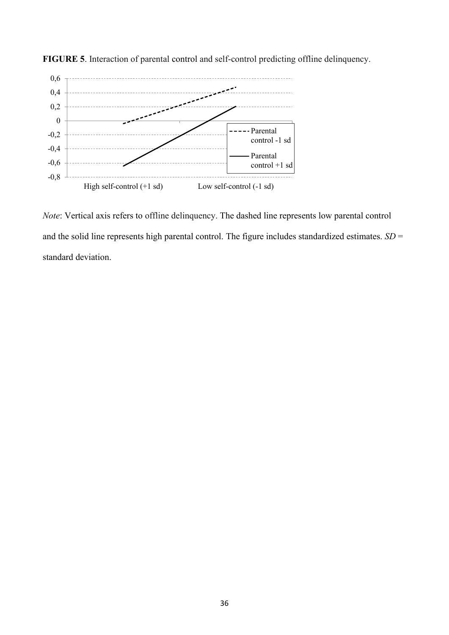

**FIGURE 5**. Interaction of parental control and self-control predicting offline delinquency.

*Note*: Vertical axis refers to offline delinquency. The dashed line represents low parental control and the solid line represents high parental control. The figure includes standardized estimates. *SD* = standard deviation.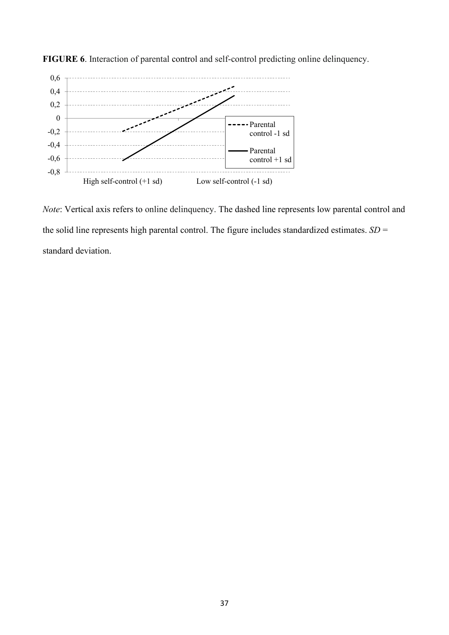

**FIGURE 6**. Interaction of parental control and self-control predicting online delinquency.

*Note*: Vertical axis refers to online delinquency. The dashed line represents low parental control and the solid line represents high parental control. The figure includes standardized estimates. *SD* = standard deviation.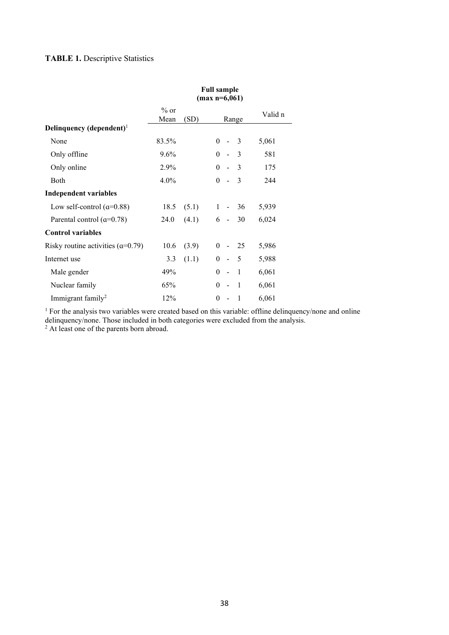# **TABLE 1.** Descriptive Statistics

|                                      | <b>Full sample</b><br>$(max n=6,061)$ |       |                  |                |                |         |  |  |
|--------------------------------------|---------------------------------------|-------|------------------|----------------|----------------|---------|--|--|
|                                      | $%$ or<br>Mean                        | (SD)  |                  |                | Range          | Valid n |  |  |
| Delinquency (dependent) <sup>1</sup> |                                       |       |                  |                |                |         |  |  |
| None                                 | 83.5%                                 |       | $\theta$         | $\sim$         | $\overline{3}$ | 5,061   |  |  |
| Only offline                         | 9.6%                                  |       | $\overline{0}$   | $\sim 100$     | 3              | 581     |  |  |
| Only online                          | 2.9%                                  |       | $0 -$            |                | 3              | 175     |  |  |
| Both                                 | $4.0\%$                               |       | $\Omega$         |                | 3              | 244     |  |  |
| <b>Independent variables</b>         |                                       |       |                  |                |                |         |  |  |
| Low self-control $(a=0.88)$          | 18.5                                  | (5.1) |                  |                | $1 - 36$       | 5,939   |  |  |
| Parental control ( $\alpha$ =0.78)   | 24.0                                  | (4.1) | $6 -$            |                | 30             | 6,024   |  |  |
| <b>Control variables</b>             |                                       |       |                  |                |                |         |  |  |
| Risky routine activities $(a=0.79)$  | 10.6                                  | (3.9) | $\boldsymbol{0}$ |                | $-25$          | 5,986   |  |  |
| Internet use                         | 3.3                                   | (1.1) | $\mathbf{0}$     | $-5$           |                | 5,988   |  |  |
| Male gender                          | 49%                                   |       | $\Omega$         | $\sim$         | $\mathbf{1}$   | 6,061   |  |  |
| Nuclear family                       | 65%                                   |       | $\theta$         |                | $\overline{1}$ | 6,061   |  |  |
| Immigrant family <sup>2</sup>        | 12%                                   |       | $\theta$         | $\overline{a}$ | $\mathbf{1}$   | 6,061   |  |  |

 $<sup>1</sup>$  For the analysis two variables were created based on this variable: offline delinquency/none and online</sup> delinquency/none. Those included in both categories were excluded from the analysis.<br><sup>2</sup> At least one of the parents born abroad.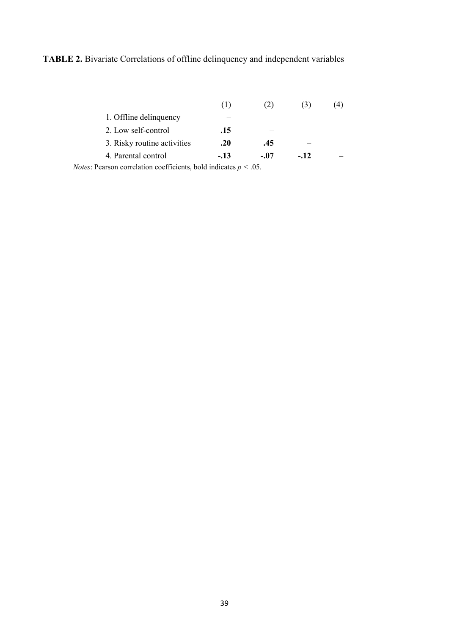**TABLE 2.** Bivariate Correlations of offline delinquency and independent variables

|                             | (1)   | (Z)    | (3)   | 4 |
|-----------------------------|-------|--------|-------|---|
| 1. Offline delinquency      |       |        |       |   |
| 2. Low self-control         | .15   |        |       |   |
| 3. Risky routine activities | .20   | .45    |       |   |
| 4. Parental control         | $-13$ | $-.07$ | $-12$ |   |

*Notes*: Pearson correlation coefficients, bold indicates  $p < .05$ .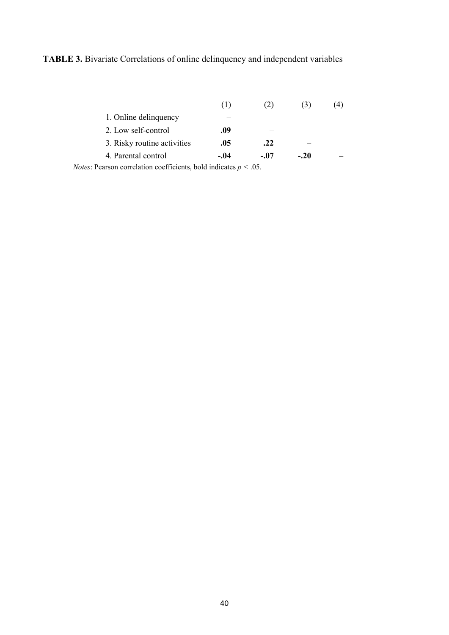| <b>TABLE 3.</b> Bivariate Correlations of online delinquency and independent variables |  |
|----------------------------------------------------------------------------------------|--|
|----------------------------------------------------------------------------------------|--|

|                             | (1)    | (2)    | (3)    | 4 |
|-----------------------------|--------|--------|--------|---|
| 1. Online delinquency       |        |        |        |   |
| 2. Low self-control         | .09    |        |        |   |
| 3. Risky routine activities | .05    | .22    |        |   |
| 4. Parental control         | $-.04$ | $-.07$ | $-.20$ |   |

*Notes*: Pearson correlation coefficients, bold indicates  $p < .05$ .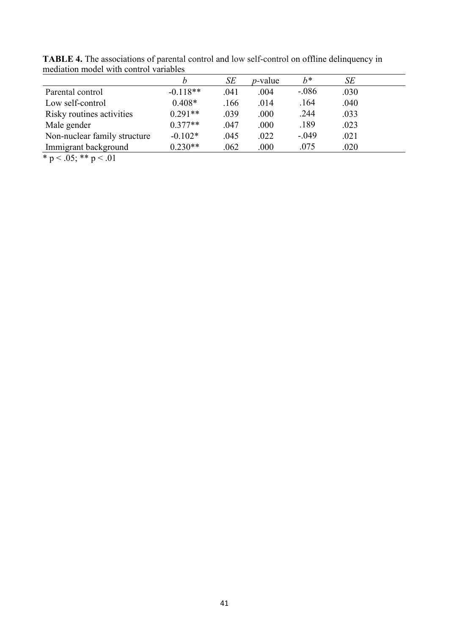|                              |            | SE   | $p$ -value | $h^*$   | SE   |  |
|------------------------------|------------|------|------------|---------|------|--|
| Parental control             | $-0.118**$ | .041 | .004       | $-.086$ | .030 |  |
| Low self-control             | $0.408*$   | .166 | .014       | .164    | .040 |  |
| Risky routines activities    | $0.291**$  | .039 | .000       | .244    | .033 |  |
| Male gender                  | $0.377**$  | .047 | .000       | .189    | .023 |  |
| Non-nuclear family structure | $-0.102*$  | .045 | .022       | $-.049$ | .021 |  |
| Immigrant background         | $0.230**$  | .062 | .000       | .075    | .020 |  |
|                              |            |      |            |         |      |  |

**TABLE 4.** The associations of parental control and low self-control on offline delinquency in mediation model with control variables

 $\frac{6}{1}$   $\times$  0.05; \*\* p < .01